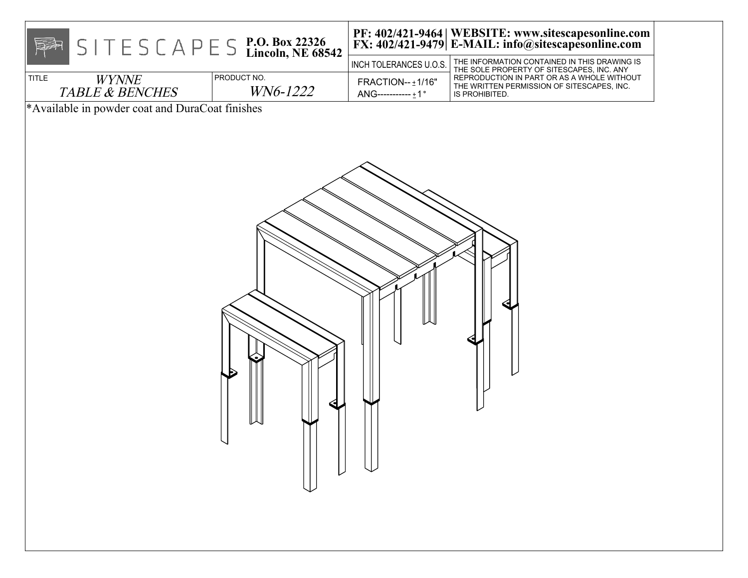| $S \mid T \in S \subset A \cap E \subseteq S$ P.O. Box 22326<br>Lincoln, NE 68542<br>투자 |                         | INCH TOLERANCES U.O.S.                    | PF: 402/421-9464   WEBSITE: www.sitescapesonline.com<br>FX: 402/421-9479   E-MAIL: info@sitescapesonline.com<br>THE INFORMATION CONTAINED IN THIS DRAWING IS |  |
|-----------------------------------------------------------------------------------------|-------------------------|-------------------------------------------|--------------------------------------------------------------------------------------------------------------------------------------------------------------|--|
| <b>TITLE</b><br><b>WYNNE</b><br><b>TABLE &amp; BENCHES</b>                              | PRODUCT NO.<br>WN6-1222 | FRACTION-- ±1/16"<br>$ANG$ -----------±1° | THE SOLE PROPERTY OF SITESCAPES, INC. ANY<br>REPRODUCTION IN PART OR AS A WHOLE WITHOUT<br>THE WRITTEN PERMISSION OF SITESCAPES, INC.<br>IS PROHIBITED.      |  |
| *Available in powder coat and DuraCoat finishes                                         |                         |                                           |                                                                                                                                                              |  |